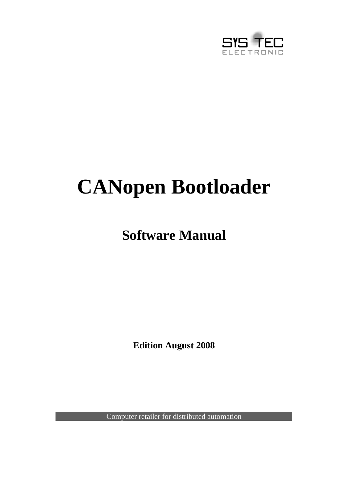

# <span id="page-0-0"></span>**CANopen Bootloader**

## **Software Manual**

**Edition August 2008** 

Computer retailer for distributed automation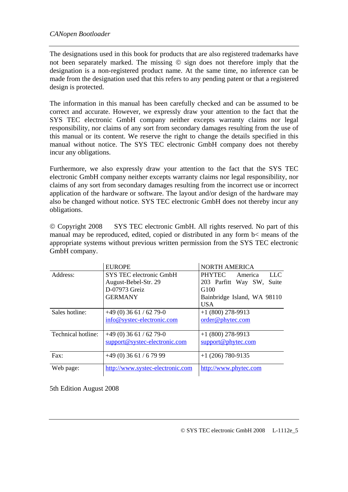The designations used in this book for products that are also registered trademarks have not been separately marked. The missing © sign does not therefore imply that the designation is a non-registered product name. At the same time, no inference can be made from the designation used that this refers to any pending patent or that a registered design is protected.

The information in this manual has been carefully checked and can be assumed to be correct and accurate. However, we expressly draw your attention to the fact that the SYS TEC electronic GmbH company neither excepts warranty claims nor legal responsibility, nor claims of any sort from secondary damages resulting from the use of this manual or its content. We reserve the right to change the details specified in this manual without notice. The SYS TEC electronic GmbH company does not thereby incur any obligations.

Furthermore, we also expressly draw your attention to the fact that the SYS TEC electronic GmbH company neither excepts warranty claims nor legal responsibility, nor claims of any sort from secondary damages resulting from the incorrect use or incorrect application of the hardware or software. The layout and/or design of the hardware may also be changed without notice. SYS TEC electronic GmbH does not thereby incur any obligations.

© Copyright 2008 SYS TEC electronic GmbH. All rights reserved. No part of this manual may be reproduced, edited, copied or distributed in any form b< means of the appropriate systems without previous written permission from the SYS TEC electronic GmbH company.

|                    | <b>EUROPE</b><br><b>NORTH AMERICA</b> |                                 |  |  |  |
|--------------------|---------------------------------------|---------------------------------|--|--|--|
| Address:           | <b>SYS TEC</b> electronic GmbH        | <b>LLC</b><br>PHYTEC<br>America |  |  |  |
|                    | August-Bebel-Str. 29                  | 203 Parfitt Way SW,<br>Suite    |  |  |  |
|                    | D-07973 Greiz                         | G <sub>100</sub>                |  |  |  |
|                    | <b>GERMANY</b>                        | Bainbridge Island, WA 98110     |  |  |  |
|                    |                                       | <b>USA</b>                      |  |  |  |
| Sales hotline:     | $+49(0)3661/6279-0$                   | $+1$ (800) 278-9913             |  |  |  |
|                    | info@systec-electronic.com            | order@phytec.com                |  |  |  |
|                    |                                       |                                 |  |  |  |
| Technical hotline: | $+49(0)3661/6279-0$                   | $+1$ (800) 278-9913             |  |  |  |
|                    | support@systec-electronic.com         | support@phytec.com              |  |  |  |
|                    |                                       |                                 |  |  |  |
| Fax:               | $+49(0)3661/67999$                    | $+1$ (206) 780-9135             |  |  |  |
|                    | http://www.systec-electronic.com      |                                 |  |  |  |
| Web page:          |                                       | http://www.phytec.com           |  |  |  |

5th Edition August 2008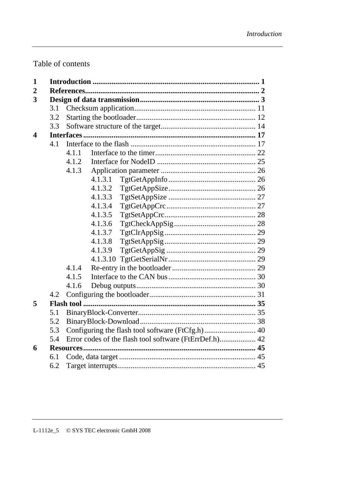## Table of contents

| 1              |     |       |          |  |  |  |  |  |  |  |
|----------------|-----|-------|----------|--|--|--|--|--|--|--|
| $\overline{2}$ |     |       |          |  |  |  |  |  |  |  |
| 3              |     |       |          |  |  |  |  |  |  |  |
|                | 3.1 |       |          |  |  |  |  |  |  |  |
|                | 3.2 |       |          |  |  |  |  |  |  |  |
|                | 3.3 |       |          |  |  |  |  |  |  |  |
| 4              |     |       |          |  |  |  |  |  |  |  |
|                | 4.1 |       |          |  |  |  |  |  |  |  |
|                |     | 4.1.1 |          |  |  |  |  |  |  |  |
|                |     | 4.1.2 |          |  |  |  |  |  |  |  |
|                |     | 4.1.3 |          |  |  |  |  |  |  |  |
|                |     |       | 4.1.3.1  |  |  |  |  |  |  |  |
|                |     |       | 4.1.3.2  |  |  |  |  |  |  |  |
|                |     |       | 4.1.3.3  |  |  |  |  |  |  |  |
|                |     |       | 4.1.3.4  |  |  |  |  |  |  |  |
|                |     |       | 4.1.3.5  |  |  |  |  |  |  |  |
|                |     |       | 4.1.3.6  |  |  |  |  |  |  |  |
|                |     |       | 4.1.3.7  |  |  |  |  |  |  |  |
|                |     |       | 4.1.3.8  |  |  |  |  |  |  |  |
|                |     |       | 4.1.3.9  |  |  |  |  |  |  |  |
|                |     |       | 4.1.3.10 |  |  |  |  |  |  |  |
|                |     | 4.1.4 |          |  |  |  |  |  |  |  |
|                |     | 4.1.5 |          |  |  |  |  |  |  |  |
|                |     | 4.1.6 |          |  |  |  |  |  |  |  |
|                | 4.2 |       |          |  |  |  |  |  |  |  |
| 5              |     |       |          |  |  |  |  |  |  |  |
|                | 5.1 |       |          |  |  |  |  |  |  |  |
|                | 5.2 |       |          |  |  |  |  |  |  |  |
|                | 5.3 |       |          |  |  |  |  |  |  |  |
|                | 5.4 |       |          |  |  |  |  |  |  |  |
| 6              |     |       |          |  |  |  |  |  |  |  |
|                | 6.1 |       |          |  |  |  |  |  |  |  |
|                | 6.2 |       |          |  |  |  |  |  |  |  |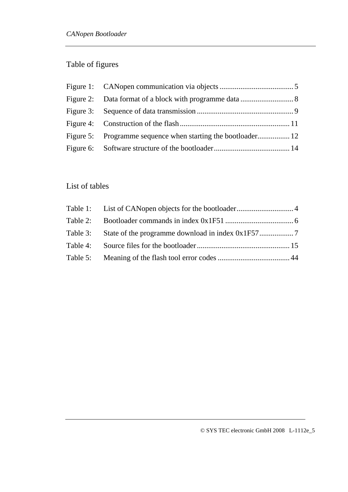## Table of figures

## List of tables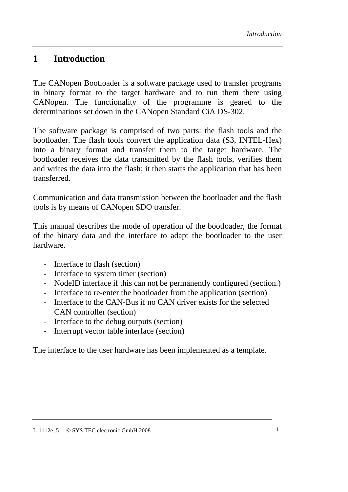## **1 Introduction**

The CANopen Bootloader is a software package used to transfer programs in binary format to the target hardware and to run them there using CANopen. The functionality of the programme is geared to the determinations set down in the CANopen Standard CiA DS-302.

The software package is comprised of two parts: the flash tools and the bootloader. The flash tools convert the application data (S3, INTEL-Hex) into a binary format and transfer them to the target hardware. The bootloader receives the data transmitted by the flash tools, verifies them and writes the data into the flash; it then starts the application that has been transferred.

Communication and data transmission between the bootloader and the flash tools is by means of CANopen SDO transfer.

This manual describes the mode of operation of the bootloader, the format of the binary data and the interface to adapt the bootloader to the user hardware.

- Interface to flash (section)
- Interface to system timer (section)
- NodeID interface if this can not be permanently configured (section.)
- Interface to re-enter the bootloader from the application (section)
- Interface to the CAN-Bus if no CAN driver exists for the selected CAN controller (section)
- Interface to the debug outputs (section)
- Interrupt vector table interface (section)

The interface to the user hardware has been implemented as a template.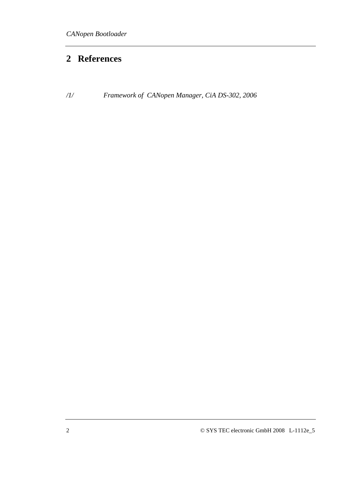<span id="page-5-0"></span>*CANopen Bootloader* 

## **2 References**

*/1/ Framework of CANopen Manager, CiA DS-302, 2006*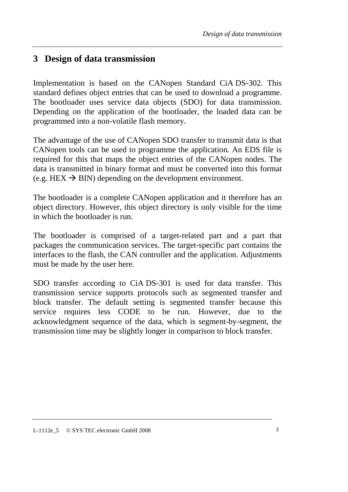## <span id="page-6-0"></span>**3 Design of data transmission**

Implementation is based on the CANopen Standard CiA DS-302. This standard defines object entries that can be used to download a programme. The bootloader uses service data objects (SDO) for data transmission. Depending on the application of the bootloader, the loaded data can be programmed into a non-volatile flash memory.

The advantage of the use of CANopen SDO transfer to transmit data is that CANopen tools can be used to programme the application. An EDS file is required for this that maps the object entries of the CANopen nodes. The data is transmitted in binary format and must be converted into this format (e.g. HEX  $\rightarrow$  BIN) depending on the development environment.

The bootloader is a complete CANopen application and it therefore has an object directory. However, this object directory is only visible for the time in which the bootloader is run.

The bootloader is comprised of a target-related part and a part that packages the communication services. The target-specific part contains the interfaces to the flash, the CAN controller and the application. Adjustments must be made by the user here.

SDO transfer according to CiA DS-301 is used for data transfer. This transmission service supports protocols such as segmented transfer and block transfer. The default setting is segmented transfer because this service requires less CODE to be run. However, due to the acknowledgment sequence of the data, which is segment-by-segment, the transmission time may be slightly longer in comparison to block transfer.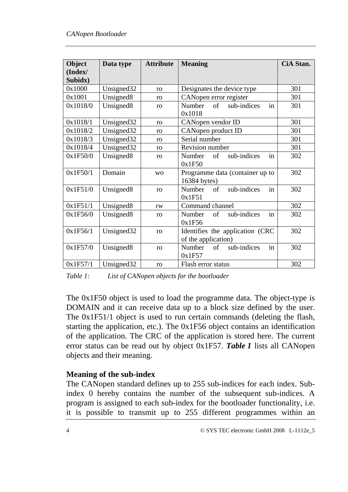| Object<br>(Index/ | Data type              | <b>Attribute</b> | <b>Meaning</b>                                         | CiA Stan. |
|-------------------|------------------------|------------------|--------------------------------------------------------|-----------|
| Subidx)           |                        |                  |                                                        |           |
| 0x1000            | Unsigned <sub>32</sub> | ro               | Designates the device type                             | 301       |
| 0x1001            | Unsigned <sub>8</sub>  | ro               | CANopen error register                                 | 301       |
| 0x1018/0          | Unsigned <sub>8</sub>  | ro               | in<br>Number<br>sub-indices<br>of<br>0x1018            | 301       |
| 0x1018/1          | Unsigned <sub>32</sub> | ro               | CANopen vendor ID                                      | 301       |
| 0x1018/2          | Unsigned <sub>32</sub> | ro               | CANopen product ID                                     | 301       |
| 0x1018/3          | Unsigned <sub>32</sub> | ro               | Serial number                                          | 301       |
| 0x1018/4          | Unsigned <sub>32</sub> | ro               | Revision number                                        | 301       |
| 0x1F50/0          | Unsigned <sub>8</sub>  | ro               | sub-indices<br>in<br>Number<br>of<br>0x1F50            | 302       |
| 0x1F50/1          | Domain                 | <b>WO</b>        | Programme data (container up to<br>16384 bytes)        | 302       |
| 0x1F51/0          | Unsigned <sub>8</sub>  | ro               | sub-indices<br>in<br>Number<br>of<br>0x1F51            | 302       |
| 0x1F51/1          | Unsigned <sub>8</sub>  | rw               | Command channel                                        | 302       |
| 0x1F56/0          | Unsigned <sub>8</sub>  | ro               | sub-indices<br>in<br>Number<br>of<br>0x1F56            | 302       |
| 0x1F56/1          | Unsigned32             | ro               | Identifies the application (CRC<br>of the application) | 302       |
| 0x1F57/0          | Unsigned <sub>8</sub>  | ro               | sub-indices<br>Number<br>of<br>in<br>0x1F57            | 302       |
| 0x1F57/1          | Unsigned <sub>32</sub> | ro               | Flash error status                                     | 302       |

<span id="page-7-0"></span>*Table 1: List of CANopen objects for the bootloader* 

The 0x1F50 object is used to load the programme data. The object-type is DOMAIN and it can receive data up to a block size defined by the user. The 0x1F51/1 object is used to run certain commands (deleting the flash, starting the application, etc.). The 0x1F56 object contains an identification of the application. The CRC of the application is stored here. The current error status can be read out by object 0x1F57. *[Table 1](#page-7-0)* lists all CANopen objects and their meaning.

## **Meaning of the sub-index**

The CANopen standard defines up to 255 sub-indices for each index. Subindex 0 hereby contains the number of the subsequent sub-indices. A program is assigned to each sub-index for the bootloader functionality, i.e. it is possible to transmit up to 255 different programmes within an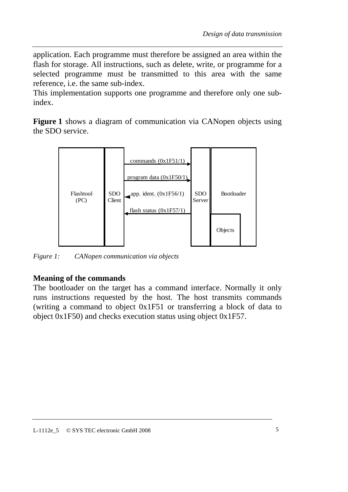application. Each programme must therefore be assigned an area within the flash for storage. All instructions, such as delete, write, or programme for a selected programme must be transmitted to this area with the same reference, i.e. the same sub-index.

This implementation supports one programme and therefore only one subindex.

[Figure 1](#page-8-0) shows a diagram of communication via CANopen objects using the SDO service.



<span id="page-8-0"></span>*Figure 1: CANopen communication via objects* 

#### **Meaning of the commands**

The bootloader on the target has a command interface. Normally it only runs instructions requested by the host. The host transmits commands (writing a command to object 0x1F51 or transferring a block of data to object 0x1F50) and checks execution status using object 0x1F57.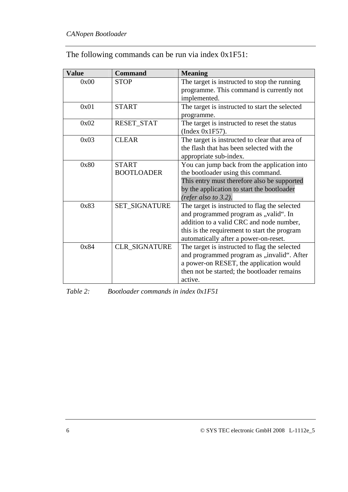#### <span id="page-9-0"></span>*CANopen Bootloader*

| <b>Value</b> | <b>Command</b>                    | <b>Meaning</b>                                                                                                                                                                                                              |
|--------------|-----------------------------------|-----------------------------------------------------------------------------------------------------------------------------------------------------------------------------------------------------------------------------|
| 0x00         | <b>STOP</b>                       | The target is instructed to stop the running<br>programme. This command is currently not<br>implemented.                                                                                                                    |
| 0x01         | <b>START</b>                      | The target is instructed to start the selected<br>programme.                                                                                                                                                                |
| 0x02         | RESET_STAT                        | The target is instructed to reset the status<br>(Index 0x1F57).                                                                                                                                                             |
| 0x03         | <b>CLEAR</b>                      | The target is instructed to clear that area of<br>the flash that has been selected with the<br>appropriate sub-index.                                                                                                       |
| 0x80         | <b>START</b><br><b>BOOTLOADER</b> | You can jump back from the application into<br>the bootloader using this command.<br>This entry must therefore also be supported<br>by the application to start the bootloader<br>(refer also to 3.2).                      |
| 0x83         | <b>SET_SIGNATURE</b>              | The target is instructed to flag the selected<br>and programmed program as "valid". In<br>addition to a valid CRC and node number,<br>this is the requirement to start the program<br>automatically after a power-on-reset. |
| 0x84         | <b>CLR_SIGNATURE</b>              | The target is instructed to flag the selected<br>and programmed program as "invalid". After<br>a power-on RESET, the application would<br>then not be started; the bootloader remains<br>active.                            |

The following commands can be run via index 0x1F51:

<span id="page-9-1"></span>*Table 2: Bootloader commands in index 0x1F51*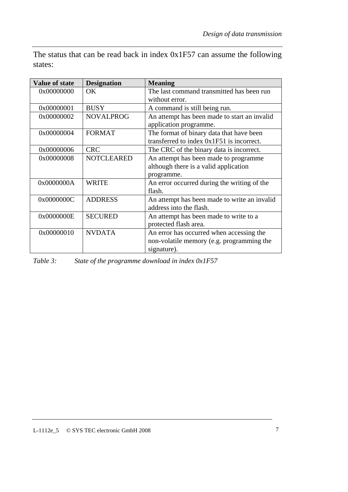<span id="page-10-0"></span>The status that can be read back in index 0x1F57 can assume the following states:

| <b>Value of state</b> | <b>Designation</b> | <b>Meaning</b>                               |
|-----------------------|--------------------|----------------------------------------------|
| 0x00000000            | <b>OK</b>          | The last command transmitted has been run    |
|                       |                    | without error.                               |
| 0x00000001            | <b>BUSY</b>        | A command is still being run.                |
| 0x00000002            | <b>NOVALPROG</b>   | An attempt has been made to start an invalid |
|                       |                    | application programme.                       |
| 0x00000004            | <b>FORMAT</b>      | The format of binary data that have been     |
|                       |                    | transferred to index 0x1F51 is incorrect.    |
| 0x00000006            | <b>CRC</b>         | The CRC of the binary data is incorrect.     |
| 0x00000008            | <b>NOTCLEARED</b>  | An attempt has been made to programme        |
|                       |                    | although there is a valid application        |
|                       |                    | programme.                                   |
| 0x0000000A            | <b>WRITE</b>       | An error occurred during the writing of the  |
|                       |                    | flash.                                       |
| 0x0000000C            | <b>ADDRESS</b>     | An attempt has been made to write an invalid |
|                       |                    | address into the flash.                      |
| 0x0000000E            | <b>SECURED</b>     | An attempt has been made to write to a       |
|                       |                    | protected flash area.                        |
| 0x00000010            | <b>NVDATA</b>      | An error has occurred when accessing the     |
|                       |                    | non-volatile memory (e.g. programming the    |
|                       |                    | signature).                                  |

*Table 3: State of the programme download in index 0x1F57*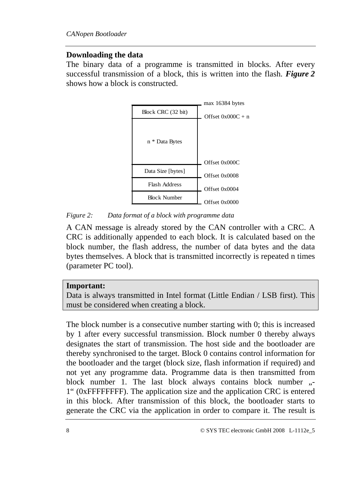#### <span id="page-11-0"></span>**Downloading the data**

The binary data of a programme is transmitted in blocks. After every successful transmission of a block, this is written into the flash. *[Figure 2](#page-11-1)* shows how a block is constructed.



<span id="page-11-1"></span>*Figure 2: Data format of a block with programme data* 

A CAN message is already stored by the CAN controller with a CRC. A CRC is additionally appended to each block. It is calculated based on the block number, the flash address, the number of data bytes and the data bytes themselves. A block that is transmitted incorrectly is repeated n times (parameter PC tool).

#### **Important:**

Data is always transmitted in Intel format (Little Endian / LSB first). This must be considered when creating a block.

The block number is a consecutive number starting with 0; this is increased by 1 after every successful transmission. Block number 0 thereby always designates the start of transmission. The host side and the bootloader are thereby synchronised to the target. Block 0 contains control information for the bootloader and the target (block size, flash information if required) and not yet any programme data. Programme data is then transmitted from block number 1. The last block always contains block number ..-1" (0xFFFFFFFF). The application size and the application CRC is entered in this block. After transmission of this block, the bootloader starts to generate the CRC via the application in order to compare it. The result is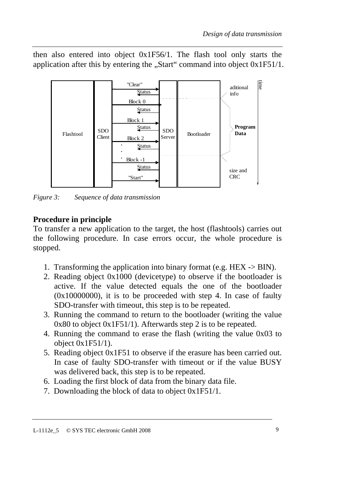<span id="page-12-0"></span>then also entered into object 0x1F56/1. The flash tool only starts the application after this by entering the "Start" command into object  $0x1F51/1$ .



*Figure 3: Sequence of data transmission* 

## **Procedure in principle**

To transfer a new application to the target, the host (flashtools) carries out the following procedure. In case errors occur, the whole procedure is stopped.

- 1. Transforming the application into binary format (e.g. HEX -> BIN).
- 2. Reading object 0x1000 (devicetype) to observe if the bootloader is active. If the value detected equals the one of the bootloader  $(0x10000000)$ , it is to be proceeded with step 4. In case of faulty SDO-transfer with timeout, this step is to be repeated.
- 3. Running the command to return to the bootloader (writing the value 0x80 to object 0x1F51/1). Afterwards step 2 is to be repeated.
- 4. Running the command to erase the flash (writing the value 0x03 to object 0x1F51/1).
- 5. Reading object 0x1F51 to observe if the erasure has been carried out. In case of faulty SDO-transfer with timeout or if the value BUSY was delivered back, this step is to be repeated.
- 6. Loading the first block of data from the binary data file.
- 7. Downloading the block of data to object 0x1F51/1.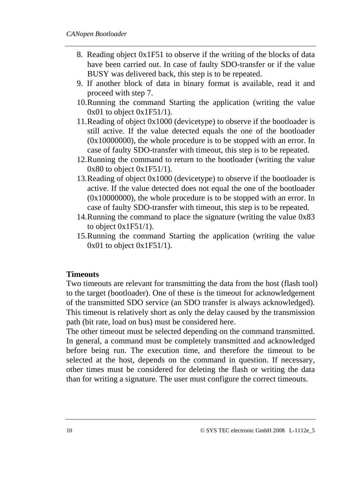- 8. Reading object 0x1F51 to observe if the writing of the blocks of data have been carried out. In case of faulty SDO-transfer or if the value BUSY was delivered back, this step is to be repeated.
- 9. If another block of data in binary format is available, read it and proceed with step 7.
- 10.Running the command Starting the application (writing the value  $0x01$  to object  $0x1F51/1$ ).
- 11.Reading of object 0x1000 (devicetype) to observe if the bootloader is still active. If the value detected equals the one of the bootloader (0x10000000), the whole procedure is to be stopped with an error. In case of faulty SDO-transfer with timeout, this step is to be repeated.
- 12.Running the command to return to the bootloader (writing the value  $0x80$  to object  $0x1F51/1$ ).
- 13.Reading of object 0x1000 (devicetype) to observe if the bootloader is active. If the value detected does not equal the one of the bootloader (0x10000000), the whole procedure is to be stopped with an error. In case of faulty SDO-transfer with timeout, this step is to be repeated.
- 14.Running the command to place the signature (writing the value 0x83 to object 0x1F51/1).
- 15.Running the command Starting the application (writing the value  $0x01$  to object  $0x1F51/1$ ).

#### **Timeouts**

Two timeouts are relevant for transmitting the data from the host (flash tool) to the target (bootloader). One of these is the timeout for acknowledgement of the transmitted SDO service (an SDO transfer is always acknowledged). This timeout is relatively short as only the delay caused by the transmission path (bit rate, load on bus) must be considered here.

The other timeout must be selected depending on the command transmitted. In general, a command must be completely transmitted and acknowledged before being run. The execution time, and therefore the timeout to be selected at the host, depends on the command in question. If necessary, other times must be considered for deleting the flash or writing the data than for writing a signature. The user must configure the correct timeouts.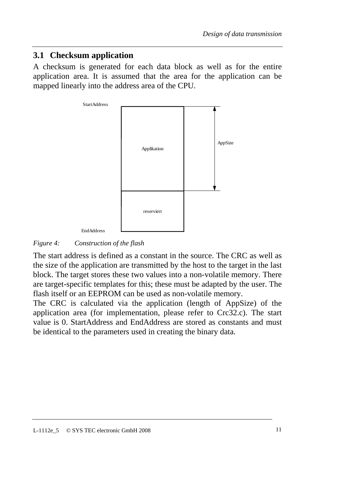## <span id="page-14-0"></span>**3.1 Checksum application**

A checksum is generated for each data block as well as for the entire application area. It is assumed that the area for the application can be mapped linearly into the address area of the CPU.



*Figure 4: Construction of the flash* 

The start address is defined as a constant in the source. The CRC as well as the size of the application are transmitted by the host to the target in the last block. The target stores these two values into a non-volatile memory. There are target-specific templates for this; these must be adapted by the user. The flash itself or an EEPROM can be used as non-volatile memory.

The CRC is calculated via the application (length of AppSize) of the application area (for implementation, please refer to Crc32.c). The start value is 0. StartAddress and EndAddress are stored as constants and must be identical to the parameters used in creating the binary data.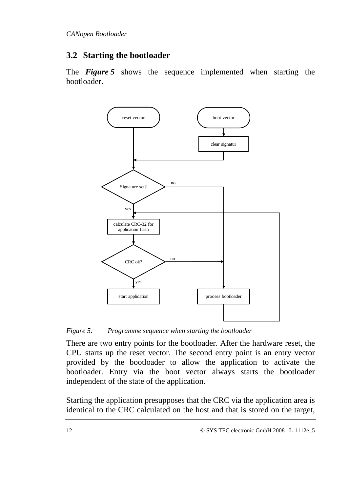#### <span id="page-15-1"></span><span id="page-15-0"></span>**3.2 Starting the bootloader**

The *[Figure 5](#page-15-2)* shows the sequence implemented when starting the bootloader.



<span id="page-15-2"></span>*Figure 5: Programme sequence when starting the bootloader* 

There are two entry points for the bootloader. After the hardware reset, the CPU starts up the reset vector. The second entry point is an entry vector provided by the bootloader to allow the application to activate the bootloader. Entry via the boot vector always starts the bootloader independent of the state of the application.

Starting the application presupposes that the CRC via the application area is identical to the CRC calculated on the host and that is stored on the target,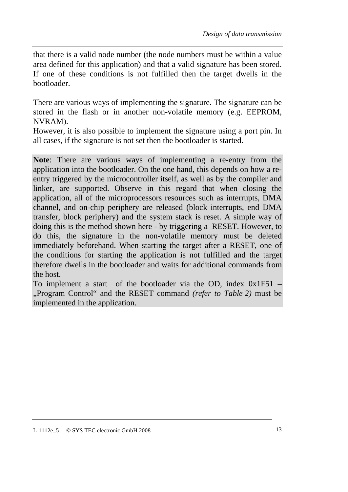that there is a valid node number (the node numbers must be within a value area defined for this application) and that a valid signature has been stored. If one of these conditions is not fulfilled then the target dwells in the bootloader.

There are various ways of implementing the signature. The signature can be stored in the flash or in another non-volatile memory (e.g. EEPROM, NVRAM).

However, it is also possible to implement the signature using a port pin. In all cases, if the signature is not set then the bootloader is started.

**Note**: There are various ways of implementing a re-entry from the application into the bootloader. On the one hand, this depends on how a reentry triggered by the microcontroller itself, as well as by the compiler and linker, are supported. Observe in this regard that when closing the application, all of the microprocessors resources such as interrupts, DMA channel, and on-chip periphery are released (block interrupts, end DMA transfer, block periphery) and the system stack is reset. A simple way of doing this is the method shown here - by triggering a RESET. However, to do this, the signature in the non-volatile memory must be deleted immediately beforehand. When starting the target after a RESET, one of the conditions for starting the application is not fulfilled and the target therefore dwells in the bootloader and waits for additional commands from the host.

To implement a start of the bootloader via the OD, index 0x1F51 – "Program Control" and the RESET command *(refer to [Table 2\)](#page-9-1)* must be implemented in the application.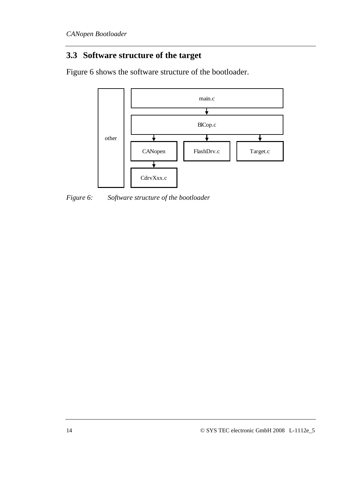## <span id="page-17-0"></span>**3.3 Software structure of the target**

Figure 6 shows the software structure of the bootloader.



*Figure 6: Software structure of the bootloader* 

14 © SYS TEC electronic GmbH 2008 L-1112e\_5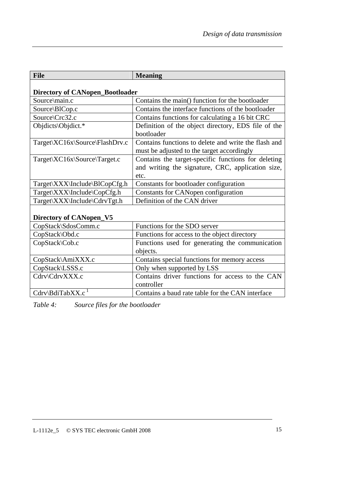<span id="page-18-0"></span>

| <b>File</b>                            | <b>Meaning</b>                                                    |
|----------------------------------------|-------------------------------------------------------------------|
| <b>Directory of CANopen_Bootloader</b> |                                                                   |
| Source\main.c                          | Contains the main() function for the bootloader                   |
|                                        | Contains the interface functions of the bootloader                |
| Source\BlCop.c                         |                                                                   |
| Source\Crc32.c                         | Contains functions for calculating a 16 bit CRC                   |
| Objdicts\Objdict.*                     | Definition of the object directory, EDS file of the<br>bootloader |
| Target\XC16x\Source\FlashDrv.c         | Contains functions to delete and write the flash and              |
|                                        | must be adjusted to the target accordingly                        |
| Target\XC16x\Source\Target.c           | Contains the target-specific functions for deleting               |
|                                        | and writing the signature, CRC, application size,                 |
|                                        | etc.                                                              |
| Target\XXX\Include\BlCopCfg.h          | Constants for bootloader configuration                            |
| Target\XXX\Include\CopCfg.h            | Constants for CANopen configuration                               |
| Target\XXX\Include\CdrvTgt.h           | Definition of the CAN driver                                      |
| <b>Directory of CANopen_V5</b>         |                                                                   |
| CopStack\SdosComm.c                    | Functions for the SDO server                                      |
| CopStack\Obd.c                         | Functions for access to the object directory                      |
| CopStack\Cob.c                         | Functions used for generating the communication                   |
|                                        | objects.                                                          |
| CopStack\AmiXXX.c                      | Contains special functions for memory access                      |
| CopStack\LSSS.c                        | Only when supported by LSS                                        |
| Cdrv\CdrvXXX.c                         | Contains driver functions for access to the CAN                   |
|                                        | controller                                                        |
| Cdrv\BdiTabXX.c <sup>1</sup>           | Contains a baud rate table for the CAN interface                  |

*Table 4: Source files for the bootloader*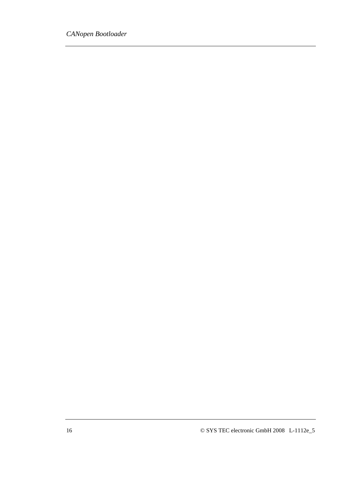*CANopen Bootloader*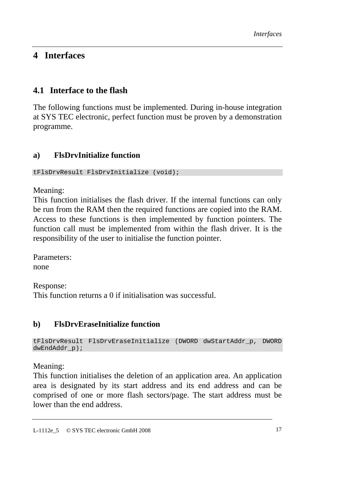## <span id="page-20-0"></span>**4 Interfaces**

## **4.1 Interface to the flash**

The following functions must be implemented. During in-house integration at SYS TEC electronic, perfect function must be proven by a demonstration programme.

## **a) FlsDrvInitialize function**

tFlsDrvResult FlsDrvInitialize (void);

Meaning:

This function initialises the flash driver. If the internal functions can only be run from the RAM then the required functions are copied into the RAM. Access to these functions is then implemented by function pointers. The function call must be implemented from within the flash driver. It is the responsibility of the user to initialise the function pointer.

Parameters: none

Response: This function returns a 0 if initialisation was successful.

## **b) FlsDrvEraseInitialize function**

```
tFlsDrvResult FlsDrvEraseInitialize (DWORD dwStartAddr_p, DWORD 
dwEndAddr_p);
```
Meaning:

This function initialises the deletion of an application area. An application area is designated by its start address and its end address and can be comprised of one or more flash sectors/page. The start address must be lower than the end address.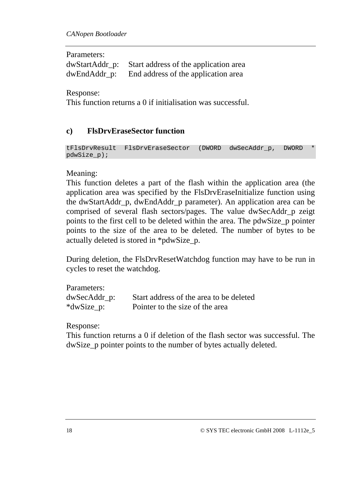*CANopen Bootloader* 

Parameters: dwStartAddr\_p: Start address of the application area dwEndAddr\_p: End address of the application area

Response:

This function returns a 0 if initialisation was successful.

#### **c) FlsDrvEraseSector function**

```
tFlsDrvResult FlsDrvEraseSector (DWORD dwSecAddr_p, DWORD * 
pdwSize_p);
```
Meaning:

This function deletes a part of the flash within the application area (the application area was specified by the FlsDrvEraseInitialize function using the dwStartAddr\_p, dwEndAddr\_p parameter). An application area can be comprised of several flash sectors/pages. The value dwSecAddr\_p zeigt points to the first cell to be deleted within the area. The pdwSize\_p pointer points to the size of the area to be deleted. The number of bytes to be actually deleted is stored in \*pdwSize\_p.

During deletion, the FlsDrvResetWatchdog function may have to be run in cycles to reset the watchdog.

Parameters: dwSecAddr\_p: Start address of the area to be deleted \*dwSize\_p: Pointer to the size of the area

Response:

This function returns a 0 if deletion of the flash sector was successful. The dwSize\_p pointer points to the number of bytes actually deleted.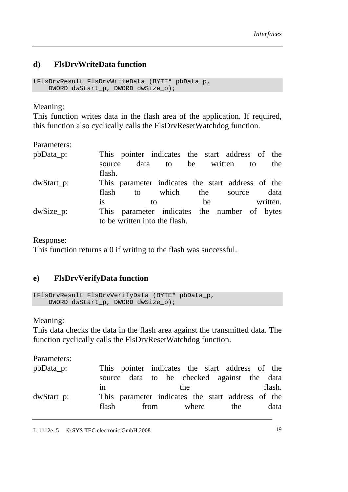#### **d) FlsDrvWriteData function**

```
tFlsDrvResult FlsDrvWriteData (BYTE* pbData_p, 
     DWORD dwStart_p, DWORD dwSize_p);
```
Meaning:

This function writes data in the flash area of the application. If required, this function also cyclically calls the FlsDrvResetWatchdog function.

Parameters:

| pbData_p:    |        |      | This pointer indicates the start address of the   |    |               |          |
|--------------|--------|------|---------------------------------------------------|----|---------------|----------|
|              | source | data | to                                                |    | be written to | the      |
|              | flash. |      |                                                   |    |               |          |
| dwStart_p:   |        |      | This parameter indicates the start address of the |    |               |          |
|              | flash  | to   | which the                                         |    | source        | data     |
|              | is     |      | tΩ                                                | be |               | written. |
| $dwSize_p$ : |        |      | This parameter indicates the number of bytes      |    |               |          |
|              |        |      | to be written into the flash.                     |    |               |          |

Response:

This function returns a 0 if writing to the flash was successful.

## **e) FlsDrvVerifyData function**

```
tFlsDrvResult FlsDrvVerifyData (BYTE* pbData_p, 
     DWORD dwStart_p, DWORD dwSize_p);
```
#### Meaning:

This data checks the data in the flash area against the transmitted data. The function cyclically calls the FlsDrvResetWatchdog function.

Parameters:

| pbData_p:  |       |      |       | This pointer indicates the start address of the   |        |
|------------|-------|------|-------|---------------------------------------------------|--------|
|            |       |      |       | source data to be checked against the data        |        |
|            | 1n    |      | the.  |                                                   | flash. |
| dwStart_p: |       |      |       | This parameter indicates the start address of the |        |
|            | flash | from | where | the                                               | data   |
|            |       |      |       |                                                   |        |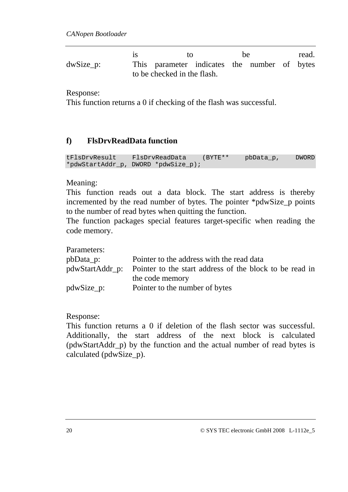|              | tΩ.                                          | he |  | read. |
|--------------|----------------------------------------------|----|--|-------|
| $dwSize_p$ : | This parameter indicates the number of bytes |    |  |       |
|              | to be checked in the flash.                  |    |  |       |

Response:

This function returns a 0 if checking of the flash was successful.

#### **f) FlsDrvReadData function**

tFlsDrvResult FlsDrvReadData (BYTE\*\* pbData\_p, DWORD \*pdwStartAddr\_p, DWORD \*pdwSize\_p);

#### Meaning:

This function reads out a data block. The start address is thereby incremented by the read number of bytes. The pointer \*pdwSize\_p points to the number of read bytes when quitting the function.

The function packages special features target-specific when reading the code memory.

Parameters:

| pbData_p:  | Pointer to the address with the read data                               |
|------------|-------------------------------------------------------------------------|
|            | pdwStartAddr_p: Pointer to the start address of the block to be read in |
|            | the code memory                                                         |
| pdwSize_p: | Pointer to the number of bytes                                          |

Response:

This function returns a 0 if deletion of the flash sector was successful. Additionally, the start address of the next block is calculated (pdwStartAddr\_p) by the function and the actual number of read bytes is calculated (pdwSize\_p).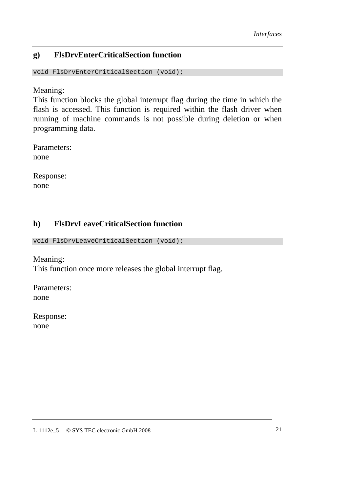#### **g) FlsDrvEnterCriticalSection function**

```
void FlsDrvEnterCriticalSection (void);
```
Meaning:

This function blocks the global interrupt flag during the time in which the flash is accessed. This function is required within the flash driver when running of machine commands is not possible during deletion or when programming data.

Parameters: none

Response: none

## **h) FlsDrvLeaveCriticalSection function**

```
void FlsDrvLeaveCriticalSection (void);
```
Meaning: This function once more releases the global interrupt flag.

Parameters: none

Response: none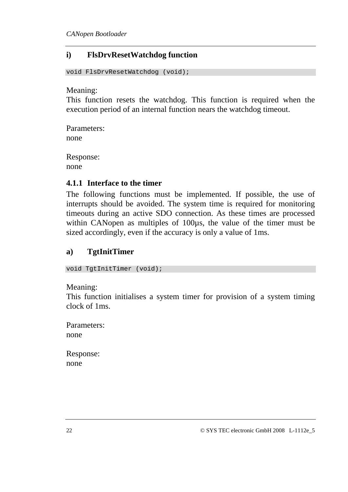## <span id="page-25-0"></span>**i) FlsDrvResetWatchdog function**

void FlsDrvResetWatchdog (void);

Meaning:

This function resets the watchdog. This function is required when the execution period of an internal function nears the watchdog timeout.

Parameters: none

Response: none

#### **4.1.1 Interface to the timer**

The following functions must be implemented. If possible, the use of interrupts should be avoided. The system time is required for monitoring timeouts during an active SDO connection. As these times are processed within CANopen as multiples of 100 $\mu$ s, the value of the timer must be sized accordingly, even if the accuracy is only a value of 1ms.

#### **a) TgtInitTimer**

void TgtInitTimer (void);

Meaning:

This function initialises a system timer for provision of a system timing clock of 1ms.

Parameters: none

Response: none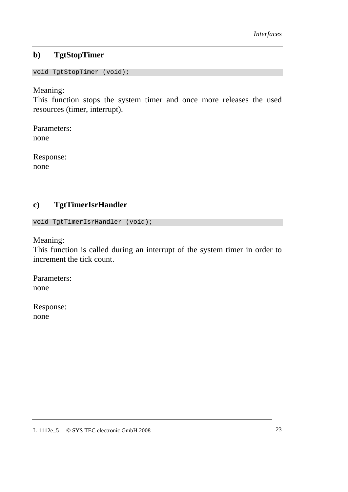#### **b) TgtStopTimer**

void TgtStopTimer (void);

Meaning:

This function stops the system timer and once more releases the used resources (timer, interrupt).

Parameters: none

Response: none

## **c) TgtTimerIsrHandler**

void TgtTimerIsrHandler (void);

Meaning:

This function is called during an interrupt of the system timer in order to increment the tick count.

Parameters: none

Response: none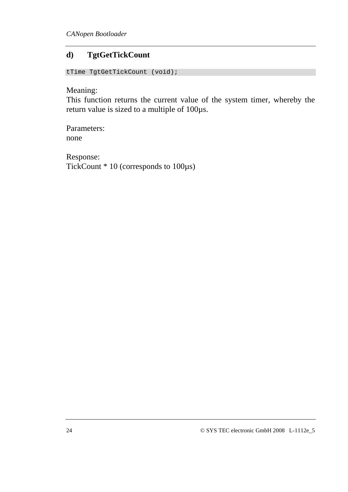## **d) TgtGetTickCount**

tTime TgtGetTickCount (void);

Meaning:

This function returns the current value of the system timer, whereby the return value is sized to a multiple of 100µs.

Parameters: none

Response: TickCount \* 10 (corresponds to 100µs)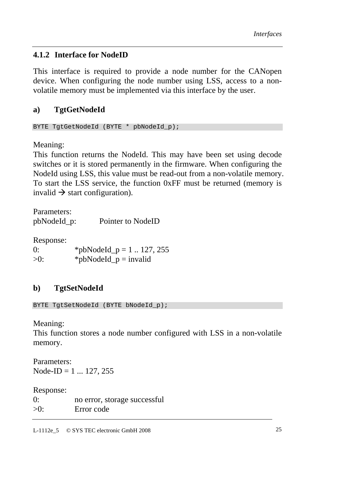#### <span id="page-28-0"></span>**4.1.2 Interface for NodeID**

This interface is required to provide a node number for the CANopen device. When configuring the node number using LSS, access to a nonvolatile memory must be implemented via this interface by the user.

## **a) TgtGetNodeId**

BYTE TgtGetNodeId (BYTE \* pbNodeId\_p);

Meaning:

This function returns the NodeId. This may have been set using decode switches or it is stored permanently in the firmware. When configuring the NodeId using LSS, this value must be read-out from a non-volatile memory. To start the LSS service, the function 0xFF must be returned (memory is invalid  $\rightarrow$  start configuration).

Parameters: pbNodeId\_p: Pointer to NodeID

Response:

| 0:     | *pbNodeId_p = 1  127, 255 |
|--------|---------------------------|
| $>0$ : | *pbNodeId_p = invalid     |

## **b) TgtSetNodeId**

BYTE TgtSetNodeId (BYTE bNodeId\_p);

Meaning:

This function stores a node number configured with LSS in a non-volatile memory.

Parameters: Node-ID =  $1 \dots 127, 255$ 

Response:

0: no error, storage successful >0: Error code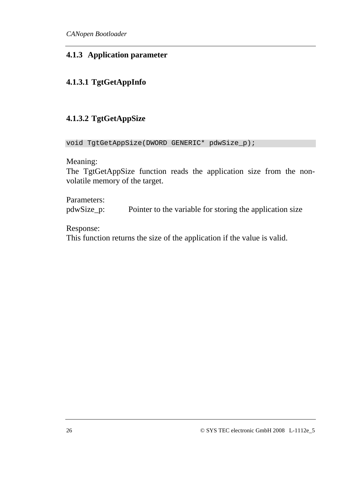<span id="page-29-0"></span>*CANopen Bootloader* 

#### **4.1.3 Application parameter**

## **4.1.3.1 TgtGetAppInfo**

## **4.1.3.2 TgtGetAppSize**

void TgtGetAppSize(DWORD GENERIC\* pdwSize\_p);

Meaning:

The TgtGetAppSize function reads the application size from the nonvolatile memory of the target.

Parameters: pdwSize\_p: Pointer to the variable for storing the application size

Response:

This function returns the size of the application if the value is valid.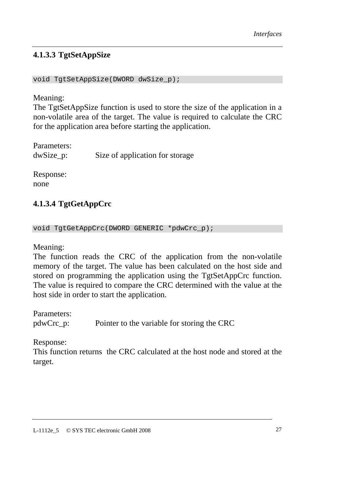## <span id="page-30-0"></span>**4.1.3.3 TgtSetAppSize**

#### void TgtSetAppSize(DWORD dwSize\_p);

Meaning:

The TgtSetAppSize function is used to store the size of the application in a non-volatile area of the target. The value is required to calculate the CRC for the application area before starting the application.

Parameters: dwSize\_p: Size of application for storage

Response: none

## **4.1.3.4 TgtGetAppCrc**

void TgtGetAppCrc(DWORD GENERIC \*pdwCrc\_p);

Meaning:

The function reads the CRC of the application from the non-volatile memory of the target. The value has been calculated on the host side and stored on programming the application using the TgtSetAppCrc function. The value is required to compare the CRC determined with the value at the host side in order to start the application.

Parameters:

pdwCrc\_p: Pointer to the variable for storing the CRC

Response:

This function returns the CRC calculated at the host node and stored at the target.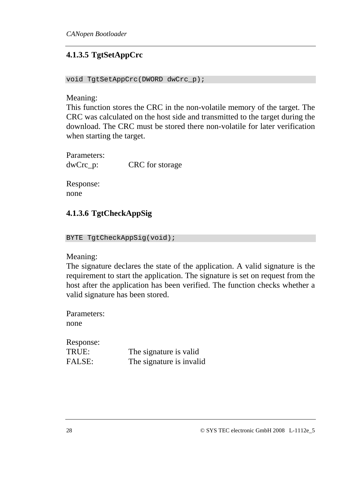<span id="page-31-0"></span>*CANopen Bootloader* 

#### **4.1.3.5 TgtSetAppCrc**

void TgtSetAppCrc(DWORD dwCrc\_p);

Meaning:

This function stores the CRC in the non-volatile memory of the target. The CRC was calculated on the host side and transmitted to the target during the download. The CRC must be stored there non-volatile for later verification when starting the target.

Parameters: dwCrc\_p: CRC for storage

Response: none

## **4.1.3.6 TgtCheckAppSig**

BYTE TgtCheckAppSig(void);

Meaning:

The signature declares the state of the application. A valid signature is the requirement to start the application. The signature is set on request from the host after the application has been verified. The function checks whether a valid signature has been stored.

Parameters: none

Response: TRUE: The signature is valid FALSE: The signature is invalid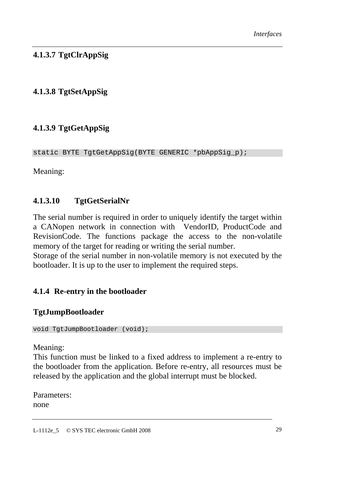## <span id="page-32-0"></span>**4.1.3.7 TgtClrAppSig**

## **4.1.3.8 TgtSetAppSig**

## **4.1.3.9 TgtGetAppSig**

static BYTE TgtGetAppSig(BYTE GENERIC \*pbAppSig\_p);

Meaning:

#### **4.1.3.10 TgtGetSerialNr**

The serial number is required in order to uniquely identify the target within a CANopen network in connection with VendorID, ProductCode and RevisionCode. The functions package the access to the non-volatile memory of the target for reading or writing the serial number.

Storage of the serial number in non-volatile memory is not executed by the bootloader. It is up to the user to implement the required steps.

## **4.1.4 Re-entry in the bootloader**

## **TgtJumpBootloader**

void TgtJumpBootloader (void);

Meaning:

This function must be linked to a fixed address to implement a re-entry to the bootloader from the application. Before re-entry, all resources must be released by the application and the global interrupt must be blocked.

Parameters: none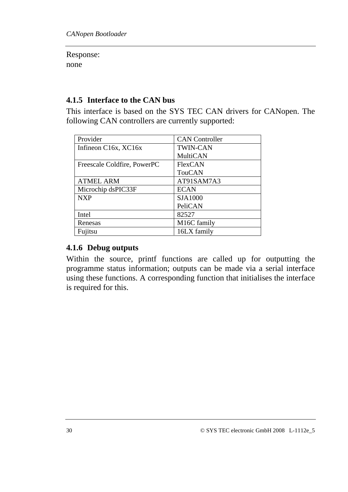<span id="page-33-0"></span>Response: none

## **4.1.5 Interface to the CAN bus**

This interface is based on the SYS TEC CAN drivers for CANopen. The following CAN controllers are currently supported:

| Provider                    | <b>CAN</b> Controller    |
|-----------------------------|--------------------------|
| Infineon C16x, XC16x        | <b>TWIN-CAN</b>          |
|                             | MultiCAN                 |
| Freescale Coldfire, PowerPC | FlexCAN                  |
|                             | <b>TouCAN</b>            |
| <b>ATMEL ARM</b>            | AT91SAM7A3               |
| Microchip dsPIC33F          | <b>ECAN</b>              |
| <b>NXP</b>                  | SJA1000                  |
|                             | PeliCAN                  |
| Intel                       | 82527                    |
| Renesas                     | M <sub>16</sub> C family |
| Fujitsu                     | 16LX family              |

#### **4.1.6 Debug outputs**

Within the source, printf functions are called up for outputting the programme status information; outputs can be made via a serial interface using these functions. A corresponding function that initialises the interface is required for this.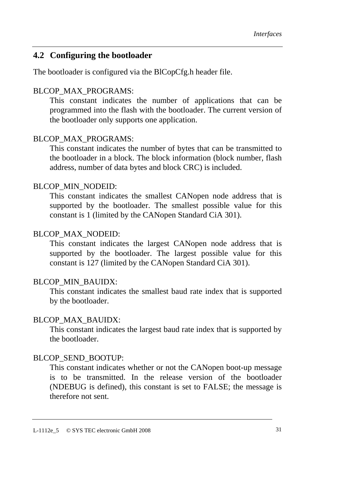## <span id="page-34-0"></span>**4.2 Configuring the bootloader**

The bootloader is configured via the BlCopCfg.h header file.

#### BLCOP\_MAX\_PROGRAMS:

This constant indicates the number of applications that can be programmed into the flash with the bootloader. The current version of the bootloader only supports one application.

#### BLCOP\_MAX\_PROGRAMS:

This constant indicates the number of bytes that can be transmitted to the bootloader in a block. The block information (block number, flash address, number of data bytes and block CRC) is included.

#### BLCOP\_MIN\_NODEID:

This constant indicates the smallest CANopen node address that is supported by the bootloader. The smallest possible value for this constant is 1 (limited by the CANopen Standard CiA 301).

#### BLCOP\_MAX\_NODEID:

This constant indicates the largest CANopen node address that is supported by the bootloader. The largest possible value for this constant is 127 (limited by the CANopen Standard CiA 301).

#### BLCOP\_MIN\_BAUIDX:

This constant indicates the smallest baud rate index that is supported by the bootloader.

## BLCOP\_MAX\_BAUIDX:

This constant indicates the largest baud rate index that is supported by the bootloader.

## BLCOP\_SEND\_BOOTUP:

This constant indicates whether or not the CANopen boot-up message is to be transmitted. In the release version of the bootloader (NDEBUG is defined), this constant is set to FALSE; the message is therefore not sent.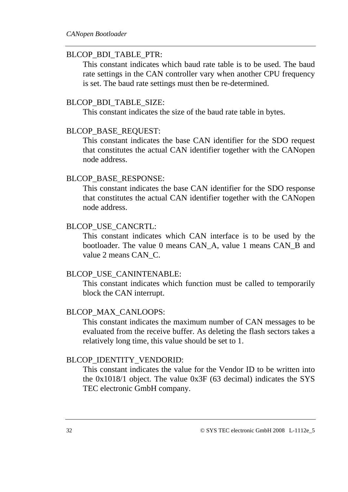#### BLCOP\_BDI\_TABLE\_PTR:

This constant indicates which baud rate table is to be used. The baud rate settings in the CAN controller vary when another CPU frequency is set. The baud rate settings must then be re-determined.

#### BLCOP\_BDI\_TABLE\_SIZE:

This constant indicates the size of the baud rate table in bytes.

#### BLCOP\_BASE\_REQUEST:

This constant indicates the base CAN identifier for the SDO request that constitutes the actual CAN identifier together with the CANopen node address.

#### BLCOP\_BASE\_RESPONSE:

This constant indicates the base CAN identifier for the SDO response that constitutes the actual CAN identifier together with the CANopen node address.

#### BLCOP\_USE\_CANCRTL:

This constant indicates which CAN interface is to be used by the bootloader. The value 0 means CAN\_A, value 1 means CAN\_B and value 2 means CAN\_C.

#### BLCOP\_USE\_CANINTENABLE:

This constant indicates which function must be called to temporarily block the CAN interrupt.

#### BLCOP\_MAX\_CANLOOPS:

This constant indicates the maximum number of CAN messages to be evaluated from the receive buffer. As deleting the flash sectors takes a relatively long time, this value should be set to 1.

#### BLCOP\_IDENTITY\_VENDORID:

This constant indicates the value for the Vendor ID to be written into the 0x1018/1 object. The value 0x3F (63 decimal) indicates the SYS TEC electronic GmbH company.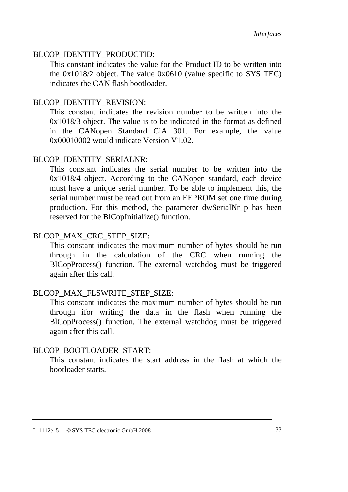#### BLCOP\_IDENTITY\_PRODUCTID:

This constant indicates the value for the Product ID to be written into the 0x1018/2 object. The value 0x0610 (value specific to SYS TEC) indicates the CAN flash bootloader.

#### BLCOP\_IDENTITY\_REVISION:

This constant indicates the revision number to be written into the 0x1018/3 object. The value is to be indicated in the format as defined in the CANopen Standard CiA 301. For example, the value 0x00010002 would indicate Version V1.02.

#### BLCOP\_IDENTITY\_SERIALNR:

This constant indicates the serial number to be written into the 0x1018/4 object. According to the CANopen standard, each device must have a unique serial number. To be able to implement this, the serial number must be read out from an EEPROM set one time during production. For this method, the parameter dwSerialNr\_p has been reserved for the BlCopInitialize() function.

## BLCOP\_MAX\_CRC\_STEP\_SIZE:

This constant indicates the maximum number of bytes should be run through in the calculation of the CRC when running the BlCopProcess() function. The external watchdog must be triggered again after this call.

## BLCOP\_MAX\_FLSWRITE\_STEP\_SIZE:

This constant indicates the maximum number of bytes should be run through ifor writing the data in the flash when running the BlCopProcess() function. The external watchdog must be triggered again after this call.

#### BLCOP\_BOOTLOADER\_START:

This constant indicates the start address in the flash at which the bootloader starts.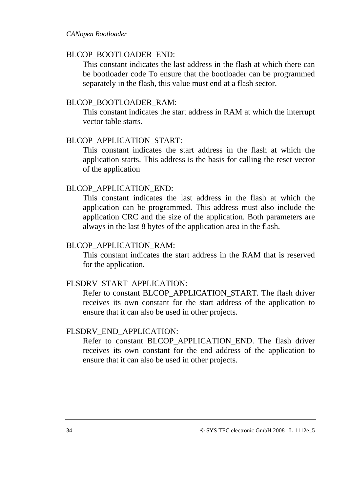#### BLCOP\_BOOTLOADER\_END:

This constant indicates the last address in the flash at which there can be bootloader code To ensure that the bootloader can be programmed separately in the flash, this value must end at a flash sector.

#### BLCOP\_BOOTLOADER\_RAM:

This constant indicates the start address in RAM at which the interrupt vector table starts.

#### BLCOP\_APPLICATION\_START:

This constant indicates the start address in the flash at which the application starts. This address is the basis for calling the reset vector of the application

#### BLCOP\_APPLICATION\_END:

This constant indicates the last address in the flash at which the application can be programmed. This address must also include the application CRC and the size of the application. Both parameters are always in the last 8 bytes of the application area in the flash.

#### BLCOP\_APPLICATION\_RAM:

This constant indicates the start address in the RAM that is reserved for the application.

#### FLSDRV\_START\_APPLICATION:

Refer to constant BLCOP\_APPLICATION\_START. The flash driver receives its own constant for the start address of the application to ensure that it can also be used in other projects.

#### FLSDRV\_END\_APPLICATION:

Refer to constant BLCOP\_APPLICATION\_END. The flash driver receives its own constant for the end address of the application to ensure that it can also be used in other projects.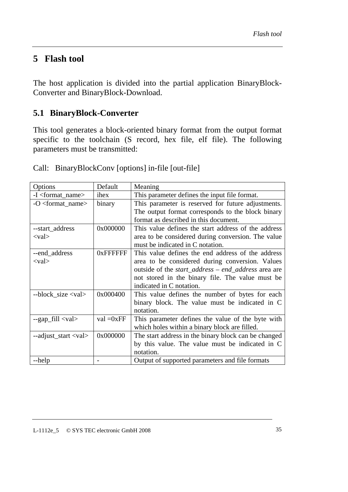## <span id="page-38-0"></span>**5 Flash tool**

The host application is divided into the partial application BinaryBlock-Converter and BinaryBlock-Download.

## **5.1 BinaryBlock-Converter**

This tool generates a block-oriented binary format from the output format specific to the toolchain (S record, hex file, elf file). The following parameters must be transmitted:

| Options                              | Default         | Meaning                                                                                                                                                                                                                                            |
|--------------------------------------|-----------------|----------------------------------------------------------------------------------------------------------------------------------------------------------------------------------------------------------------------------------------------------|
| -I <format_name></format_name>       | ihex            | This parameter defines the input file format.                                                                                                                                                                                                      |
| $-O$ <format_name></format_name>     | binary          | This parameter is reserved for future adjustments.<br>The output format corresponds to the block binary<br>format as described in this document.                                                                                                   |
| --start_address<br>$<$ val $>$       | 0x000000        | This value defines the start address of the address<br>area to be considered during conversion. The value<br>must be indicated in C notation.                                                                                                      |
| --end_address<br>$<$ val $>$         | <b>OxFFFFFF</b> | This value defines the end address of the address<br>area to be considered during conversion. Values<br>outside of the <i>start_address</i> – end_address area are<br>not stored in the binary file. The value must be<br>indicated in C notation. |
| --block_size <val></val>             | 0x000400        | This value defines the number of bytes for each<br>binary block. The value must be indicated in C<br>notation.                                                                                                                                     |
| $-$ gap_fill $\langle$ val $\rangle$ | $val = 0xFF$    | This parameter defines the value of the byte with<br>which holes within a binary block are filled.                                                                                                                                                 |
| --adjust_start <val></val>           | 0x000000        | The start address in the binary block can be changed<br>by this value. The value must be indicated in C<br>notation.                                                                                                                               |
| --help                               |                 | Output of supported parameters and file formats                                                                                                                                                                                                    |

Call: BinaryBlockConv [options] in-file [out-file]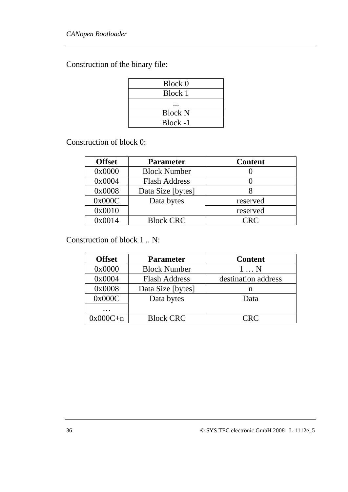## Construction of the binary file:

| Block 0        |
|----------------|
| Block 1        |
|                |
| <b>Block N</b> |
| $Block -1$     |

Construction of block 0:

| <b>Offset</b> | <b>Parameter</b>     | <b>Content</b> |
|---------------|----------------------|----------------|
| 0x0000        | <b>Block Number</b>  |                |
| 0x0004        | <b>Flash Address</b> |                |
| 0x0008        | Data Size [bytes]    |                |
| 0x000C        | Data bytes           | reserved       |
| 0x0010        |                      | reserved       |
| 0x0014        | <b>Block CRC</b>     | CRC            |

Construction of block 1 .. N:

| <b>Offset</b> | <b>Parameter</b>     | <b>Content</b>      |
|---------------|----------------------|---------------------|
| 0x0000        | <b>Block Number</b>  | $1 \dots N$         |
| 0x0004        | <b>Flash Address</b> | destination address |
| 0x0008        | Data Size [bytes]    | n                   |
| 0x000C        | Data bytes           | Data                |
| $\ddotsc$     |                      |                     |
| $0x000C+n$    | <b>Block CRC</b>     | $\cap$ R $\cap$     |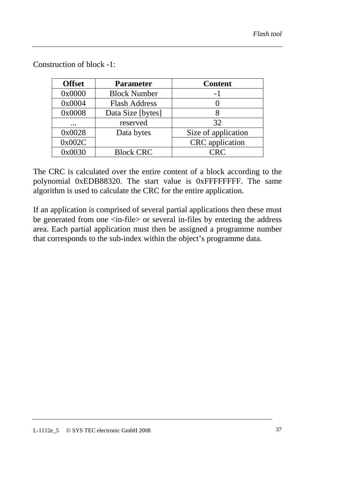| <b>Offset</b> | <b>Parameter</b>     | <b>Content</b>      |
|---------------|----------------------|---------------------|
| 0x0000        | <b>Block Number</b>  | -1                  |
| 0x0004        | <b>Flash Address</b> |                     |
| 0x0008        | Data Size [bytes]    |                     |
| $\cdots$      | reserved             | 32                  |
| 0x0028        | Data bytes           | Size of application |
| 0x002C        |                      | CRC application     |
| 0x0030        | <b>Block CRC</b>     | CRC                 |

Construction of block -1:

The CRC is calculated over the entire content of a block according to the polynomial 0xEDB88320. The start value is 0xFFFFFFFF. The same algorithm is used to calculate the CRC for the entire application.

If an application is comprised of several partial applications then these must be generated from one <in-file> or several in-files by entering the address area. Each partial application must then be assigned a programme number that corresponds to the sub-index within the object's programme data.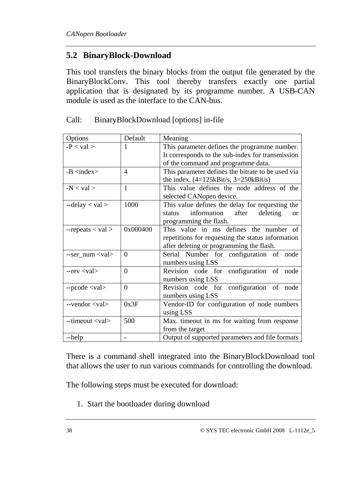## <span id="page-41-0"></span>**5.2 BinaryBlock-Download**

This tool transfers the binary blocks from the output file generated by the BinaryBlockConv. This tool thereby transfers exactly one partial application that is designated by its programme number. A USB-CAN module is used as the interface to the CAN-bus.

| Options                            | Default        | Meaning                                                |
|------------------------------------|----------------|--------------------------------------------------------|
| $-P < val >$                       | 1              | This parameter defines the programme number.           |
|                                    |                | It corresponds to the sub-index for transmission       |
|                                    |                | of the command and programme data.                     |
| $-B \langle index \rangle$         | $\overline{4}$ | This parameter defines the bitrate to be used via      |
|                                    |                | the index. $(4=125kBit/s, 3=250kBit/s)$                |
| $-N < val >$                       | $\mathbf{1}$   | This value defines the node address of the             |
|                                    |                | selected CANopen device.                               |
| $-delay < val >$                   | 1000           | This value defines the delay for requesting the        |
|                                    |                | information<br>after<br>deleting<br>status<br>$\alpha$ |
|                                    |                | programming the flash.                                 |
| $-repeats < val>$                  | 0x000400       | This value in ms defines the number of                 |
|                                    |                | repetitions for requesting the status information      |
|                                    |                | after deleting or programming the flash.               |
| --ser_num <val></val>              | $\Omega$       | Serial Number for configuration of node                |
|                                    |                | numbers using LSS                                      |
| $-rev <$ val $>$                   | $\overline{0}$ | Revision code for configuration of node                |
|                                    |                | numbers using LSS                                      |
| $-pcode <$ val $>$                 | $\overline{0}$ | Revision code for configuration of node                |
|                                    |                | numbers using LSS                                      |
| $-$ vendor $\langle$ val $\rangle$ | 0x3F           | Vendor-ID for configuration of node numbers            |
|                                    |                | using LSS                                              |
| --timeout <val></val>              | 500            | Max. timeout in ms for waiting from response           |
|                                    |                | from the target                                        |
| --help                             |                | Output of supported parameters and file formats        |

#### Call: BinaryBlockDownload [options] in-file

There is a command shell integrated into the BinaryBlockDownload tool that allows the user to run various commands for controlling the download.

The following steps must be executed for download:

1. Start the bootloader during download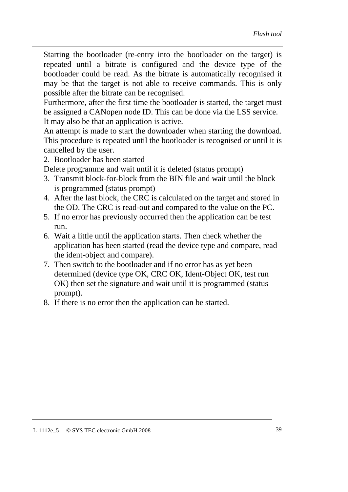Starting the bootloader (re-entry into the bootloader on the target) is repeated until a bitrate is configured and the device type of the bootloader could be read. As the bitrate is automatically recognised it may be that the target is not able to receive commands. This is only possible after the bitrate can be recognised.

Furthermore, after the first time the bootloader is started, the target must be assigned a CANopen node ID. This can be done via the LSS service. It may also be that an application is active.

An attempt is made to start the downloader when starting the download. This procedure is repeated until the bootloader is recognised or until it is cancelled by the user.

2. Bootloader has been started

Delete programme and wait until it is deleted (status prompt)

- 3. Transmit block-for-block from the BIN file and wait until the block is programmed (status prompt)
- 4. After the last block, the CRC is calculated on the target and stored in the OD. The CRC is read-out and compared to the value on the PC.
- 5. If no error has previously occurred then the application can be test run.
- 6. Wait a little until the application starts. Then check whether the application has been started (read the device type and compare, read the ident-object and compare).
- 7. Then switch to the bootloader and if no error has as yet been determined (device type OK, CRC OK, Ident-Object OK, test run OK) then set the signature and wait until it is programmed (status prompt).
- 8. If there is no error then the application can be started.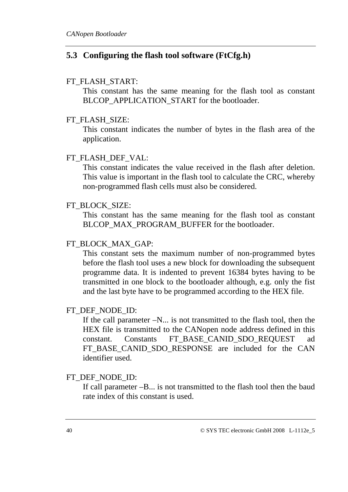#### <span id="page-43-0"></span>**5.3 Configuring the flash tool software (FtCfg.h)**

#### FT\_FLASH\_START:

This constant has the same meaning for the flash tool as constant BLCOP\_APPLICATION\_START for the bootloader.

#### FT\_FLASH\_SIZE:

This constant indicates the number of bytes in the flash area of the application.

#### FT\_FLASH\_DEF\_VAL:

This constant indicates the value received in the flash after deletion. This value is important in the flash tool to calculate the CRC, whereby non-programmed flash cells must also be considered.

#### FT\_BLOCK\_SIZE:

This constant has the same meaning for the flash tool as constant BLCOP\_MAX\_PROGRAM\_BUFFER for the bootloader.

#### FT\_BLOCK\_MAX\_GAP:

This constant sets the maximum number of non-programmed bytes before the flash tool uses a new block for downloading the subsequent programme data. It is indented to prevent 16384 bytes having to be transmitted in one block to the bootloader although, e.g. only the fist and the last byte have to be programmed according to the HEX file.

#### FT\_DEF\_NODE\_ID:

If the call parameter –N... is not transmitted to the flash tool, then the HEX file is transmitted to the CANopen node address defined in this constant. Constants FT\_BASE\_CANID\_SDO\_REQUEST ad FT\_BASE\_CANID\_SDO\_RESPONSE are included for the CAN identifier used.

#### FT\_DEF\_NODE\_ID:

If call parameter –B... is not transmitted to the flash tool then the baud rate index of this constant is used.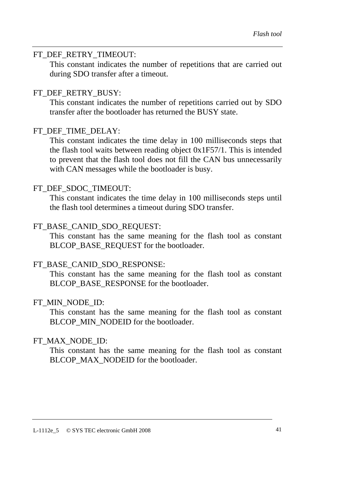#### FT\_DEF\_RETRY\_TIMEOUT:

This constant indicates the number of repetitions that are carried out during SDO transfer after a timeout.

#### FT\_DEF\_RETRY\_BUSY:

This constant indicates the number of repetitions carried out by SDO transfer after the bootloader has returned the BUSY state.

#### FT DEF TIME DELAY:

This constant indicates the time delay in 100 milliseconds steps that the flash tool waits between reading object 0x1F57/1. This is intended to prevent that the flash tool does not fill the CAN bus unnecessarily with CAN messages while the bootloader is busy.

#### FT\_DEF\_SDOC\_TIMEOUT:

This constant indicates the time delay in 100 milliseconds steps until the flash tool determines a timeout during SDO transfer.

#### FT\_BASE\_CANID\_SDO\_REQUEST:

This constant has the same meaning for the flash tool as constant BLCOP\_BASE\_REQUEST for the bootloader.

#### FT\_BASE\_CANID\_SDO\_RESPONSE:

This constant has the same meaning for the flash tool as constant BLCOP\_BASE\_RESPONSE for the bootloader.

#### FT\_MIN\_NODE\_ID:

This constant has the same meaning for the flash tool as constant BLCOP\_MIN\_NODEID for the bootloader.

#### FT\_MAX\_NODE\_ID:

This constant has the same meaning for the flash tool as constant BLCOP\_MAX\_NODEID for the bootloader.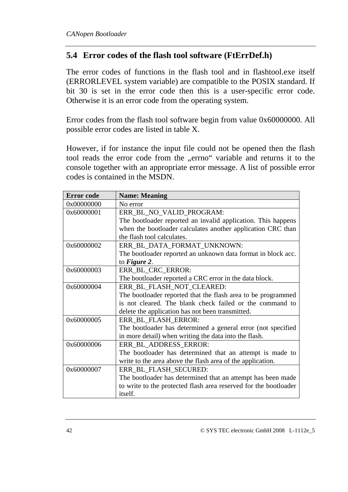## <span id="page-45-0"></span>**5.4 Error codes of the flash tool software (FtErrDef.h)**

The error codes of functions in the flash tool and in flashtool.exe itself (ERRORLEVEL system variable) are compatible to the POSIX standard. If bit 30 is set in the error code then this is a user-specific error code. Otherwise it is an error code from the operating system.

Error codes from the flash tool software begin from value 0x60000000. All possible error codes are listed in table X.

However, if for instance the input file could not be opened then the flash tool reads the error code from the "errno" variable and returns it to the console together with an appropriate error message. A list of possible error codes is contained in the MSDN.

| <b>Error</b> code | <b>Name: Meaning</b>                                             |
|-------------------|------------------------------------------------------------------|
| 0x00000000        | No error                                                         |
| 0x60000001        | ERR_BL_NO_VALID_PROGRAM:                                         |
|                   | The bootloader reported an invalid application. This happens     |
|                   | when the bootloader calculates another application CRC than      |
|                   | the flash tool calculates.                                       |
| 0x60000002        | ERR_BL_DATA_FORMAT_UNKNOWN:                                      |
|                   | The bootloader reported an unknown data format in block acc.     |
|                   | to <b>Figure 2.</b>                                              |
| 0x60000003        | ERR_BL_CRC_ERROR:                                                |
|                   | The bootloader reported a CRC error in the data block.           |
| 0x60000004        | ERR_BL_FLASH_NOT_CLEARED:                                        |
|                   | The bootloader reported that the flash area to be programmed     |
|                   | is not cleared. The blank check failed or the command to         |
|                   | delete the application has not been transmitted.                 |
| 0x60000005        | ERR_BL_FLASH_ERROR:                                              |
|                   | The bootloader has determined a general error (not specified     |
|                   | in more detail) when writing the data into the flash.            |
| 0x60000006        | ERR_BL_ADDRESS_ERROR:                                            |
|                   | The bootloader has determined that an attempt is made to         |
|                   | write to the area above the flash area of the application.       |
| 0x60000007        | ERR_BL_FLASH_SECURED:                                            |
|                   | The bootloader has determined that an attempt has been made      |
|                   | to write to the protected flash area reserved for the bootloader |
|                   | itself.                                                          |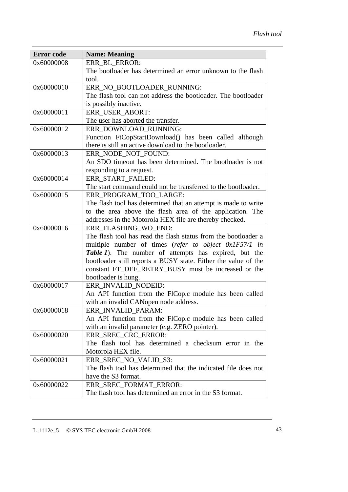| <b>Error</b> code | <b>Name: Meaning</b>                                           |  |
|-------------------|----------------------------------------------------------------|--|
| 0x60000008        | ERR_BL_ERROR:                                                  |  |
|                   | The bootloader has determined an error unknown to the flash    |  |
|                   | tool.                                                          |  |
| 0x60000010        | ERR_NO_BOOTLOADER_RUNNING:                                     |  |
|                   | The flash tool can not address the bootloader. The bootloader  |  |
|                   | is possibly inactive.                                          |  |
| 0x60000011        | ERR USER ABORT:                                                |  |
|                   | The user has aborted the transfer.                             |  |
| 0x60000012        | ERR DOWNLOAD RUNNING:                                          |  |
|                   | Function FtCopStartDownload() has been called although         |  |
|                   | there is still an active download to the bootloader.           |  |
| 0x60000013        | ERR_NODE_NOT_FOUND:                                            |  |
|                   | An SDO timeout has been determined. The bootloader is not      |  |
|                   | responding to a request.                                       |  |
| 0x60000014        | ERR_START_FAILED:                                              |  |
|                   | The start command could not be transferred to the bootloader.  |  |
| 0x60000015        | ERR_PROGRAM_TOO_LARGE:                                         |  |
|                   | The flash tool has determined that an attempt is made to write |  |
|                   | to the area above the flash area of the application. The       |  |
|                   | addresses in the Motorola HEX file are thereby checked.        |  |
| 0x60000016        | ERR_FLASHING_WO_END:                                           |  |
|                   | The flash tool has read the flash status from the bootloader a |  |
|                   | multiple number of times (refer to object 0x1F57/1 in          |  |
|                   | <b>Table 1</b> ). The number of attempts has expired, but the  |  |
|                   | bootloader still reports a BUSY state. Either the value of the |  |
|                   | constant FT_DEF_RETRY_BUSY must be increased or the            |  |
|                   | bootloader is hung.                                            |  |
| 0x60000017        | ERR_INVALID_NODEID:                                            |  |
|                   | An API function from the FICop.c module has been called        |  |
|                   | with an invalid CANopen node address.                          |  |
| 0x60000018        | ERR_INVALID_PARAM:                                             |  |
|                   | An API function from the FICop.c module has been called        |  |
|                   | with an invalid parameter (e.g. ZERO pointer).                 |  |
| 0x60000020        | ERR_SREC_CRC_ERROR:                                            |  |
|                   | The flash tool has determined a checksum error in the          |  |
|                   | Motorola HEX file.                                             |  |
| 0x60000021        | ERR_SREC_NO_VALID_S3:                                          |  |
|                   | The flash tool has determined that the indicated file does not |  |
|                   | have the S3 format.                                            |  |
| 0x60000022        | ERR_SREC_FORMAT_ERROR:                                         |  |
|                   | The flash tool has determined an error in the S3 format.       |  |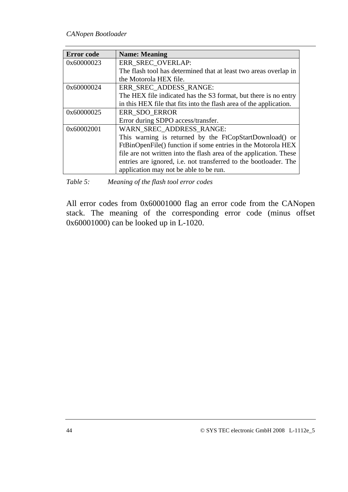<span id="page-47-0"></span>*CANopen Bootloader* 

| <b>Error</b> code | <b>Name: Meaning</b>                                               |
|-------------------|--------------------------------------------------------------------|
| 0x60000023        | ERR SREC OVERLAP:                                                  |
|                   | The flash tool has determined that at least two areas overlap in   |
|                   | the Motorola HEX file.                                             |
| 0x60000024        | ERR SREC ADDESS RANGE:                                             |
|                   | The HEX file indicated has the S3 format, but there is no entry    |
|                   | in this HEX file that fits into the flash area of the application. |
| 0x60000025        | ERR SDO ERROR                                                      |
|                   | Error during SDPO access/transfer.                                 |
| 0x60002001        | WARN SREC ADDRESS RANGE:                                           |
|                   | This warning is returned by the FtCopStartDownload() or            |
|                   | FtBinOpenFile() function if some entries in the Motorola HEX       |
|                   | file are not written into the flash area of the application. These |
|                   | entries are ignored, i.e. not transferred to the bootloader. The   |
|                   | application may not be able to be run.                             |

*Table 5: Meaning of the flash tool error codes* 

All error codes from 0x60001000 flag an error code from the CANopen stack. The meaning of the corresponding error code (minus offset 0x60001000) can be looked up in L-1020.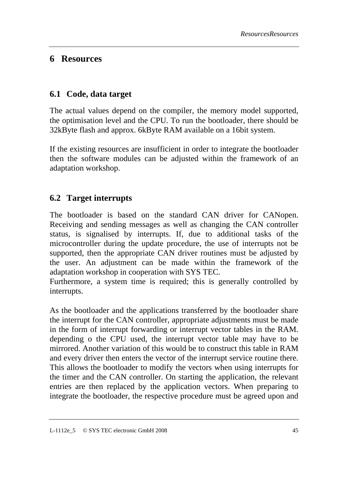## <span id="page-48-0"></span>**6 Resources**

## **6.1 Code, data target**

The actual values depend on the compiler, the memory model supported, the optimisation level and the CPU. To run the bootloader, there should be 32kByte flash and approx. 6kByte RAM available on a 16bit system.

If the existing resources are insufficient in order to integrate the bootloader then the software modules can be adjusted within the framework of an adaptation workshop.

## **6.2 Target interrupts**

The bootloader is based on the standard CAN driver for CANopen. Receiving and sending messages as well as changing the CAN controller status, is signalised by interrupts. If, due to additional tasks of the microcontroller during the update procedure, the use of interrupts not be supported, then the appropriate CAN driver routines must be adjusted by the user. An adjustment can be made within the framework of the adaptation workshop in cooperation with SYS TEC.

Furthermore, a system time is required; this is generally controlled by interrupts.

As the bootloader and the applications transferred by the bootloader share the interrupt for the CAN controller, appropriate adjustments must be made in the form of interrupt forwarding or interrupt vector tables in the RAM. depending o the CPU used, the interrupt vector table may have to be mirrored. Another variation of this would be to construct this table in RAM and every driver then enters the vector of the interrupt service routine there. This allows the bootloader to modify the vectors when using interrupts for the timer and the CAN controller. On starting the application, the relevant entries are then replaced by the application vectors. When preparing to integrate the bootloader, the respective procedure must be agreed upon and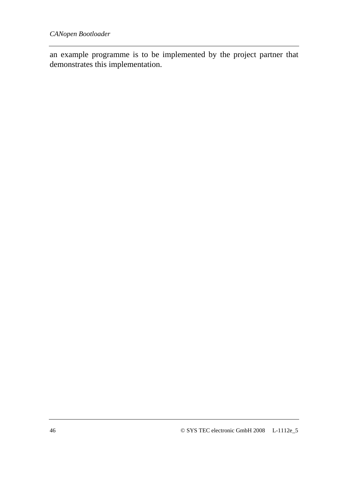an example programme is to be implemented by the project partner that demonstrates this implementation.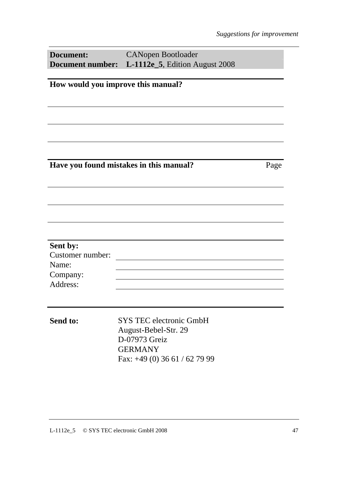| Document: | <b>CANopen Bootloader</b>                              |
|-----------|--------------------------------------------------------|
|           | <b>Document number:</b> L-1112e_5, Edition August 2008 |

## **How would you improve this manual?**

## **Have you found mistakes in this manual?** Page

| <b>Sent by:</b>  |  |
|------------------|--|
| Customer number: |  |
| Name:            |  |
| Company:         |  |
| Address:         |  |
|                  |  |

Send to: **SYS TEC** electronic GmbH August-Bebel-Str. 29 D-07973 Greiz GERMANY Fax: +49 (0) 36 61 / 62 79 99